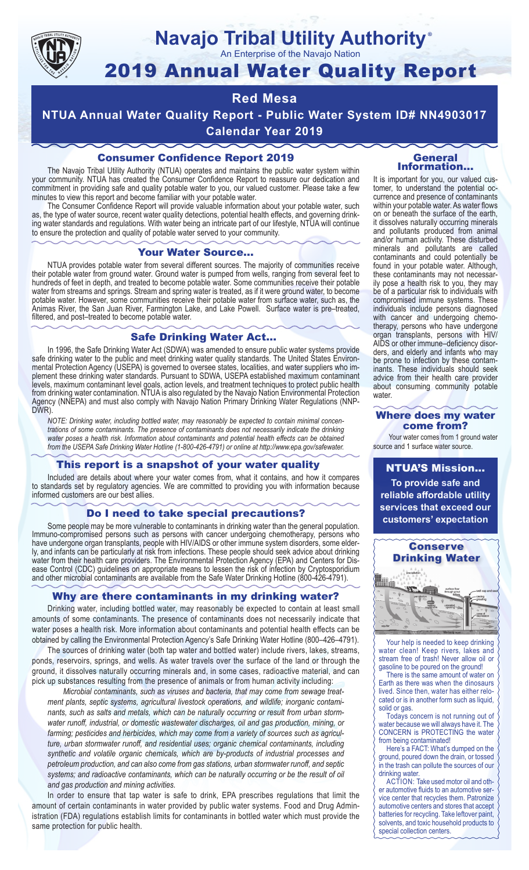

# **Navajo Tribal Utility Authority** ®

An Enterprise of the Navajo Nation

# 2019 Annual Water Quality Report

# **Red Mesa**

**NTUA Annual Water Quality Report - Public Water System ID# NN4903017 Calendar Year 2019**

# Consumer Confidence Report 2019

The Navajo Tribal Utility Authority (NTUA) operates and maintains the public water system within your community. NTUA has created the Consumer Confidence Report to reassure our dedication and commitment in providing safe and quality potable water to you, our valued customer. Please take a few minutes to view this report and become familiar with your potable water.

The Consumer Confidence Report will provide valuable information about your potable water, such as, the type of water source, recent water quality detections, potential health effects, and governing drinking water standards and regulations. With water being an intricate part of our lifestyle, NTUA will continue to ensure the protection and quality of potable water served to your community.

#### Your Water Source…

NTUA provides potable water from several different sources. The majority of communities receive their potable water from ground water. Ground water is pumped from wells, ranging from several feet to hundreds of feet in depth, and treated to become potable water. Some communities receive their potable water from streams and springs. Stream and spring water is treated, as if it were ground water, to become potable water. However, some communities receive their potable water from surface water, such as, the Animas River, the San Juan River, Farmington Lake, and Lake Powell. Surface water is pre–treated, filtered, and post–treated to become potable water.

#### Safe Drinking Water Act…

In 1996, the Safe Drinking Water Act (SDWA) was amended to ensure public water systems provide safe drinking water to the public and meet drinking water quality standards. The United States Environmental Protection Agency (USEPA) is governed to oversee states, localities, and water suppliers who implement these drinking water standards. Pursuant to SDWA, USEPA established maximum contaminant levels, maximum contaminant level goals, action levels, and treatment techniques to protect public health from drinking water contamination. NTUA is also regulated by the Navajo Nation Environmental Protection Agency (NNEPA) and must also comply with Navajo Nation Primary Drinking Water Regulations (NNP-DWR)

*NOTE: Drinking water, including bottled water, may reasonably be expected to contain minimal concentrations of some contaminants. The presence of contaminants does not necessarily indicate the drinking water poses a health risk. Information about contaminants and potential health effects can be obtained from the USEPA Safe Drinking Water Hotline (1-800-426-4791) or online at http://www.epa.gov/safewater.*

## This report is a snapshot of your water quality

Included are details about where your water comes from, what it contains, and how it compares to standards set by regulatory agencies. We are committed to providing you with information because informed customers are our best allies.

#### Do I need to take special precautions?

Some people may be more vulnerable to contaminants in drinking water than the general population. Immuno-compromised persons such as persons with cancer undergoing chemotherapy, persons who have undergone organ transplants, people with HIV/AIDS or other immune system disorders, some elderly, and infants can be particularly at risk from infections. These people should seek advice about drinking water from their health care providers. The Environmental Protection Agency (EPA) and Centers for Disease Control (CDC) guidelines on appropriate means to lessen the risk of infection by Cryptosporidium and other microbial contaminants are available from the Safe Water Drinking Hotline (800-426-4791).

## Why are there contaminants in my drinking water?

Drinking water, including bottled water, may reasonably be expected to contain at least small amounts of some contaminants. The presence of contaminants does not necessarily indicate that water poses a health risk. More information about contaminants and potential health effects can be obtained by calling the Environmental Protection Agency's Safe Drinking Water Hotline (800–426–4791).

The sources of drinking water (both tap water and bottled water) include rivers, lakes, streams, ponds, reservoirs, springs, and wells. As water travels over the surface of the land or through the ground, it dissolves naturally occurring minerals and, in some cases, radioactive material, and can pick up substances resulting from the presence of animals or from human activity including:

*Microbial contaminants, such as viruses and bacteria, that may come from sewage treatment plants, septic systems, agricultural livestock operations, and wildlife; inorganic contaminants, such as salts and metals, which can be naturally occurring or result from urban stormwater runoff, industrial, or domestic wastewater discharges, oil and gas production, mining, or farming; pesticides and herbicides, which may come from a variety of sources such as agriculture, urban stormwater runoff, and residential uses; organic chemical contaminants, including synthetic and volatile organic chemicals, which are by-products of industrial processes and petroleum production, and can also come from gas stations, urban stormwater runoff, and septic systems; and radioactive contaminants, which can be naturally occurring or be the result of oil and gas production and mining activities.*

In order to ensure that tap water is safe to drink, EPA prescribes regulations that limit the amount of certain contaminants in water provided by public water systems. Food and Drug Administration (FDA) regulations establish limits for contaminants in bottled water which must provide the same protection for public health.

#### General Information…

It is important for you, our valued customer, to understand the potential occurrence and presence of contaminants within your potable water. As water flows on or beneath the surface of the earth, it dissolves naturally occurring minerals and pollutants produced from animal and/or human activity. These disturbed minerals and pollutants are called contaminants and could potentially be found in your potable water. Although, these contaminants may not necessarily pose a health risk to you, they may be of a particular risk to individuals with compromised immune systems. These individuals include persons diagnosed with cancer and undergoing chemo-<br>therapy, persons who have undergone organ transplants, persons with HIV/ AIDS or other immune–deficiency disor- ders, and elderly and infants who may be prone to infection by these contam- inants. These individuals should seek advice from their health care provider about consuming community potable water.

#### Where does my water come from?

Your water comes from 1 ground water source and 1 surface water source.

NTUA'S Mission... **To provide safe and reliable affordable utility services that exceed our customers' expectation**



Your help is needed to keep drinking water clean! Keep rivers, lakes and stream free of trash! Never allow oil or gasoline to be poured on the ground!

There is the same amount of water on Earth as there was when the dinosaurs lived. Since then, water has either relocated or is in another form such as liquid, solid or gas.

Todays concern is not running out of water because we will always have it. The CONCERN is PROTECTING the water from being contaminated!

Here's a FACT: What's dumped on the ground, poured down the drain, or tossed in the trash can pollute the sources of our drinking water.

ACTION: Take used motor oil and other automotive fluids to an automotive service center that recycles them. Patronize automotive centers and stores that accept batteries for recycling. Take leftover paint, solvents, and toxic household products to special collection centers.